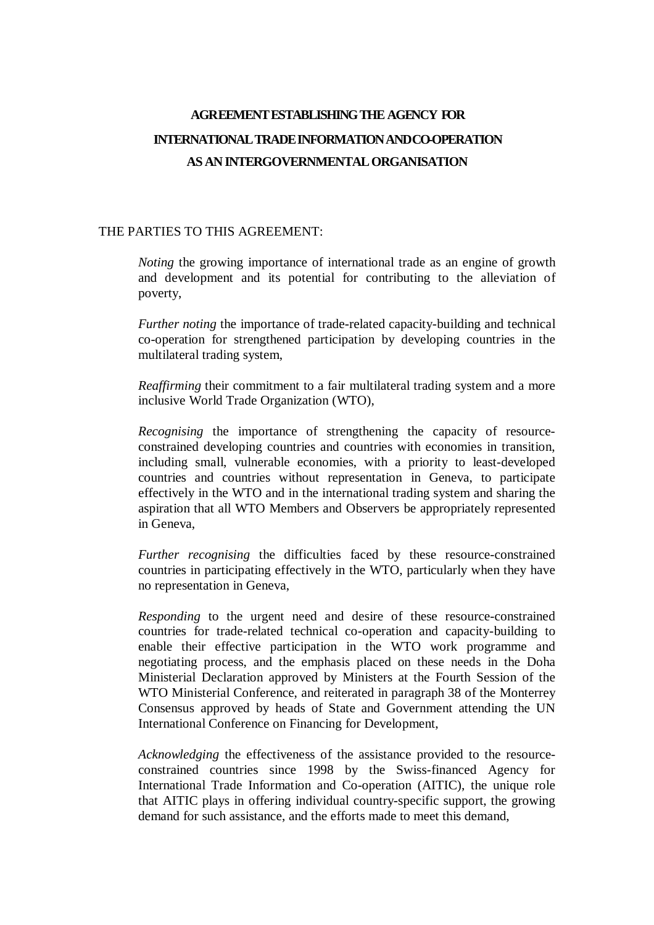# **AGREEMENTESTABLISHING THE AGENCY FOR INTERNATIONAL TRADE INFORMATION AND CO-OPERATION ASANINTERGOVERNMENTALORGANISATION**

### THE PARTIES TO THIS AGREEMENT:

*Noting* the growing importance of international trade as an engine of growth and development and its potential for contributing to the alleviation of poverty,

*Further noting* the importance of trade-related capacity-building and technical co-operation for strengthened participation by developing countries in the multilateral trading system,

*Reaffirming* their commitment to a fair multilateral trading system and a more inclusive World Trade Organization (WTO),

*Recognising* the importance of strengthening the capacity of resourceconstrained developing countries and countries with economies in transition, including small, vulnerable economies, with a priority to least-developed countries and countries without representation in Geneva, to participate effectively in the WTO and in the international trading system and sharing the aspiration that all WTO Members and Observers be appropriately represented in Geneva,

*Further recognising* the difficulties faced by these resource-constrained countries in participating effectively in the WTO, particularly when they have no representation in Geneva,

*Responding* to the urgent need and desire of these resource-constrained countries for trade-related technical co-operation and capacity-building to enable their effective participation in the WTO work programme and negotiating process, and the emphasis placed on these needs in the Doha Ministerial Declaration approved by Ministers at the Fourth Session of the WTO Ministerial Conference, and reiterated in paragraph 38 of the Monterrey Consensus approved by heads of State and Government attending the UN International Conference on Financing for Development,

*Acknowledging* the effectiveness of the assistance provided to the resourceconstrained countries since 1998 by the Swiss-financed Agency for International Trade Information and Co-operation (AITIC), the unique role that AITIC plays in offering individual country-specific support, the growing demand for such assistance, and the efforts made to meet this demand,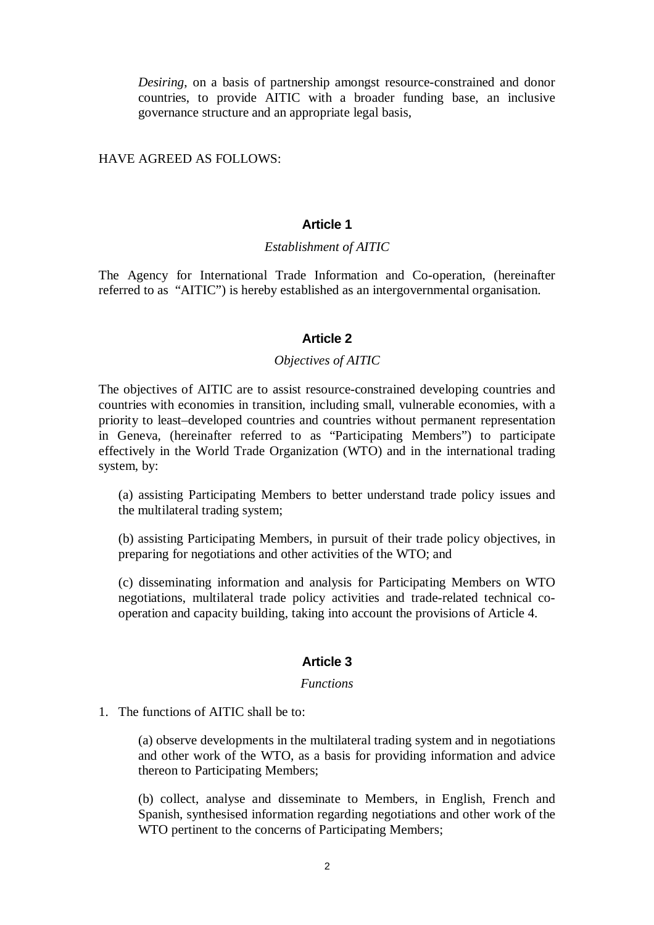*Desiring*, on a basis of partnership amongst resource-constrained and donor countries, to provide AITIC with a broader funding base, an inclusive governance structure and an appropriate legal basis,

HAVE AGREED AS FOLLOWS:

# **Article 1**

### *Establishment of AITIC*

The Agency for International Trade Information and Co-operation, (hereinafter referred to as "AITIC") is hereby established as an intergovernmental organisation.

### **Article 2**

### *Objectives of AITIC*

The objectives of AITIC are to assist resource-constrained developing countries and countries with economies in transition, including small, vulnerable economies, with a priority to least–developed countries and countries without permanent representation in Geneva, (hereinafter referred to as "Participating Members") to participate effectively in the World Trade Organization (WTO) and in the international trading system, by:

(a) assisting Participating Members to better understand trade policy issues and the multilateral trading system;

(b) assisting Participating Members, in pursuit of their trade policy objectives, in preparing for negotiations and other activities of the WTO; and

(c) disseminating information and analysis for Participating Members on WTO negotiations, multilateral trade policy activities and trade-related technical cooperation and capacity building, taking into account the provisions of Article 4.

# **Article 3**

#### *Functions*

1. The functions of AITIC shall be to:

(a) observe developments in the multilateral trading system and in negotiations and other work of the WTO, as a basis for providing information and advice thereon to Participating Members;

(b) collect, analyse and disseminate to Members, in English, French and Spanish, synthesised information regarding negotiations and other work of the WTO pertinent to the concerns of Participating Members;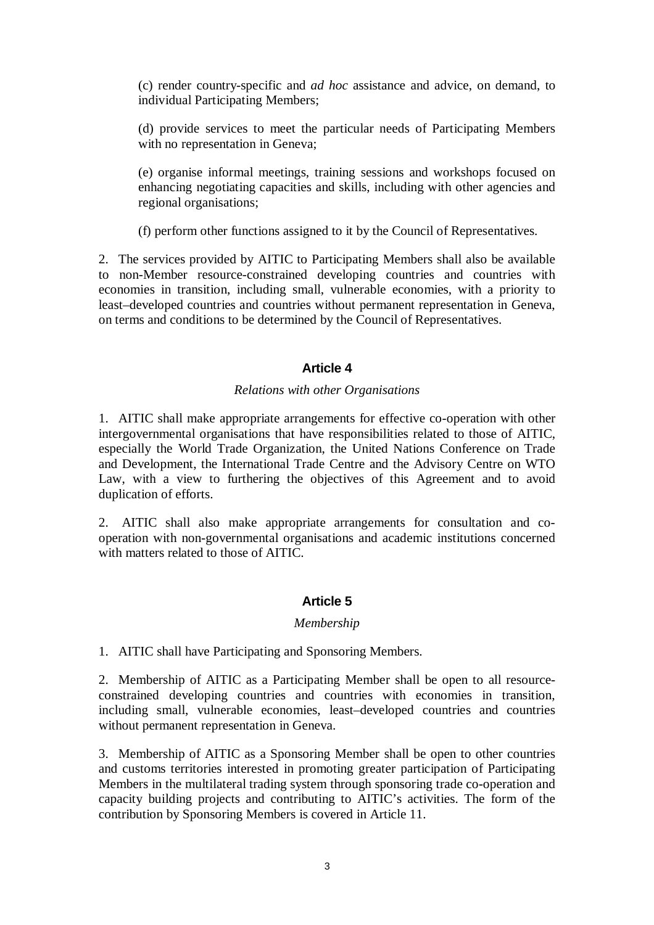(c) render country-specific and *ad hoc* assistance and advice, on demand, to individual Participating Members;

(d) provide services to meet the particular needs of Participating Members with no representation in Geneva;

(e) organise informal meetings, training sessions and workshops focused on enhancing negotiating capacities and skills, including with other agencies and regional organisations;

(f) perform other functions assigned to it by the Council of Representatives.

2. The services provided by AITIC to Participating Members shall also be available to non-Member resource-constrained developing countries and countries with economies in transition, including small, vulnerable economies, with a priority to least–developed countries and countries without permanent representation in Geneva, on terms and conditions to be determined by the Council of Representatives.

# **Article 4**

# *Relations with other Organisations*

1. AITIC shall make appropriate arrangements for effective co-operation with other intergovernmental organisations that have responsibilities related to those of AITIC, especially the World Trade Organization, the United Nations Conference on Trade and Development, the International Trade Centre and the Advisory Centre on WTO Law, with a view to furthering the objectives of this Agreement and to avoid duplication of efforts.

2. AITIC shall also make appropriate arrangements for consultation and cooperation with non-governmental organisations and academic institutions concerned with matters related to those of AITIC.

# **Article 5**

# *Membership*

1. AITIC shall have Participating and Sponsoring Members.

2. Membership of AITIC as a Participating Member shall be open to all resourceconstrained developing countries and countries with economies in transition, including small, vulnerable economies, least–developed countries and countries without permanent representation in Geneva.

3. Membership of AITIC as a Sponsoring Member shall be open to other countries and customs territories interested in promoting greater participation of Participating Members in the multilateral trading system through sponsoring trade co-operation and capacity building projects and contributing to AITIC's activities. The form of the contribution by Sponsoring Members is covered in Article 11.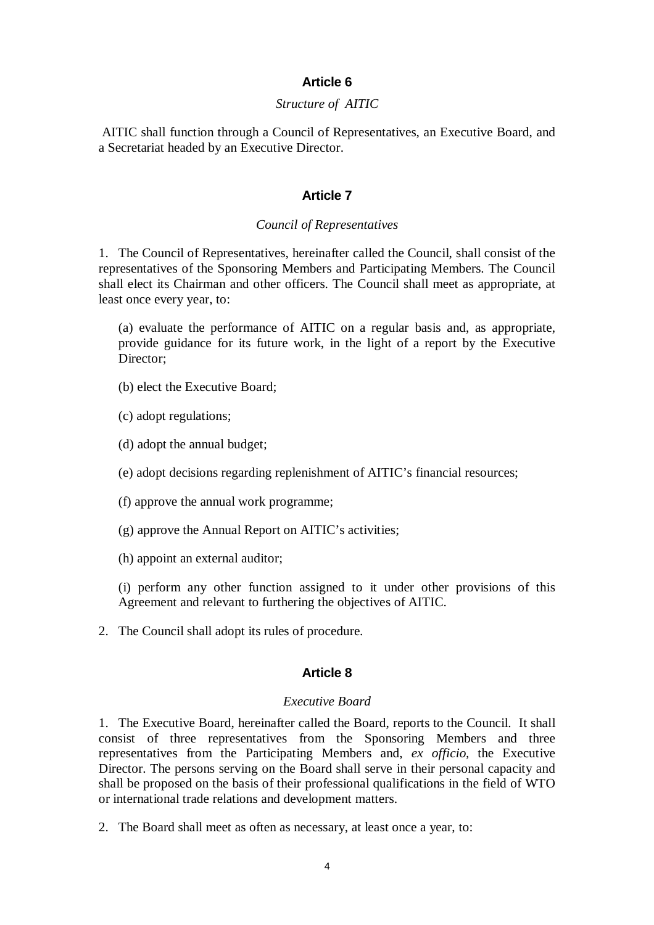## **Article 6**

## *Structure of AITIC*

AITIC shall function through a Council of Representatives, an Executive Board, and a Secretariat headed by an Executive Director.

### **Article 7**

#### *Council of Representatives*

1. The Council of Representatives, hereinafter called the Council, shall consist of the representatives of the Sponsoring Members and Participating Members. The Council shall elect its Chairman and other officers. The Council shall meet as appropriate, at least once every year, to:

(a) evaluate the performance of AITIC on a regular basis and, as appropriate, provide guidance for its future work, in the light of a report by the Executive Director;

- (b) elect the Executive Board;
- (c) adopt regulations;
- (d) adopt the annual budget;
- (e) adopt decisions regarding replenishment of AITIC's financial resources;
- (f) approve the annual work programme;
- (g) approve the Annual Report on AITIC's activities;
- (h) appoint an external auditor;

(i) perform any other function assigned to it under other provisions of this Agreement and relevant to furthering the objectives of AITIC.

2. The Council shall adopt its rules of procedure.

## **Article 8**

#### *Executive Board*

1. The Executive Board, hereinafter called the Board, reports to the Council. It shall consist of three representatives from the Sponsoring Members and three representatives from the Participating Members and, *ex officio,* the Executive Director. The persons serving on the Board shall serve in their personal capacity and shall be proposed on the basis of their professional qualifications in the field of WTO or international trade relations and development matters.

2. The Board shall meet as often as necessary, at least once a year, to: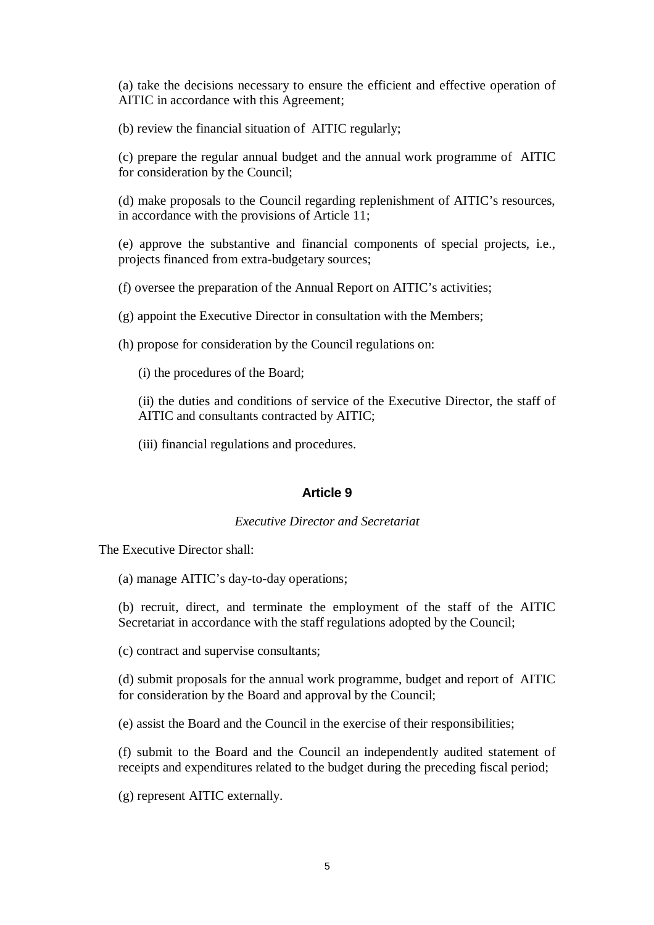(a) take the decisions necessary to ensure the efficient and effective operation of AITIC in accordance with this Agreement;

(b) review the financial situation of AITIC regularly;

(c) prepare the regular annual budget and the annual work programme of AITIC for consideration by the Council;

(d) make proposals to the Council regarding replenishment of AITIC's resources, in accordance with the provisions of Article 11;

(e) approve the substantive and financial components of special projects, i.e., projects financed from extra-budgetary sources;

(f) oversee the preparation of the Annual Report on AITIC's activities;

(g) appoint the Executive Director in consultation with the Members;

(h) propose for consideration by the Council regulations on:

(i) the procedures of the Board;

(ii) the duties and conditions of service of the Executive Director, the staff of AITIC and consultants contracted by AITIC;

(iii) financial regulations and procedures.

### **Article 9**

#### *Executive Director and Secretariat*

The Executive Director shall:

(a) manage AITIC's day-to-day operations;

(b) recruit, direct, and terminate the employment of the staff of the AITIC Secretariat in accordance with the staff regulations adopted by the Council;

(c) contract and supervise consultants;

(d) submit proposals for the annual work programme, budget and report of AITIC for consideration by the Board and approval by the Council;

(e) assist the Board and the Council in the exercise of their responsibilities;

(f) submit to the Board and the Council an independently audited statement of receipts and expenditures related to the budget during the preceding fiscal period;

(g) represent AITIC externally.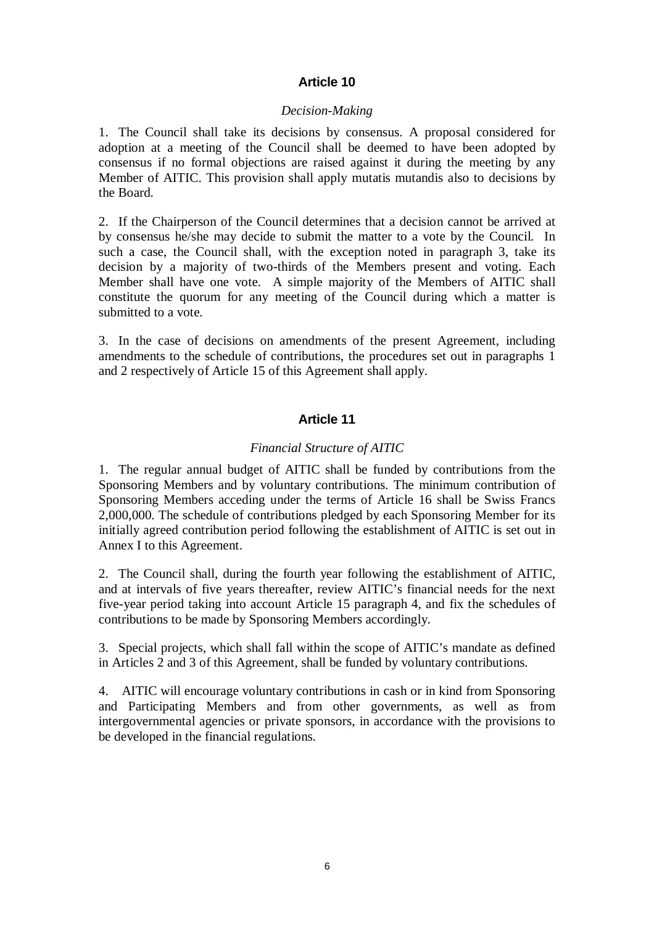# **Article 10**

# *Decision-Making*

1. The Council shall take its decisions by consensus. A proposal considered for adoption at a meeting of the Council shall be deemed to have been adopted by consensus if no formal objections are raised against it during the meeting by any Member of AITIC. This provision shall apply mutatis mutandis also to decisions by the Board.

2. If the Chairperson of the Council determines that a decision cannot be arrived at by consensus he/she may decide to submit the matter to a vote by the Council. In such a case, the Council shall, with the exception noted in paragraph 3, take its decision by a majority of two-thirds of the Members present and voting. Each Member shall have one vote. A simple majority of the Members of AITIC shall constitute the quorum for any meeting of the Council during which a matter is submitted to a vote.

3. In the case of decisions on amendments of the present Agreement, including amendments to the schedule of contributions, the procedures set out in paragraphs 1 and 2 respectively of Article 15 of this Agreement shall apply.

# **Article 11**

# *Financial Structure of AITIC*

1. The regular annual budget of AITIC shall be funded by contributions from the Sponsoring Members and by voluntary contributions. The minimum contribution of Sponsoring Members acceding under the terms of Article 16 shall be Swiss Francs 2,000,000. The schedule of contributions pledged by each Sponsoring Member for its initially agreed contribution period following the establishment of AITIC is set out in Annex I to this Agreement.

2. The Council shall, during the fourth year following the establishment of AITIC, and at intervals of five years thereafter, review AITIC's financial needs for the next five-year period taking into account Article 15 paragraph 4, and fix the schedules of contributions to be made by Sponsoring Members accordingly.

3. Special projects, which shall fall within the scope of AITIC's mandate as defined in Articles 2 and 3 of this Agreement, shall be funded by voluntary contributions.

4. AITIC will encourage voluntary contributions in cash or in kind from Sponsoring and Participating Members and from other governments, as well as from intergovernmental agencies or private sponsors, in accordance with the provisions to be developed in the financial regulations.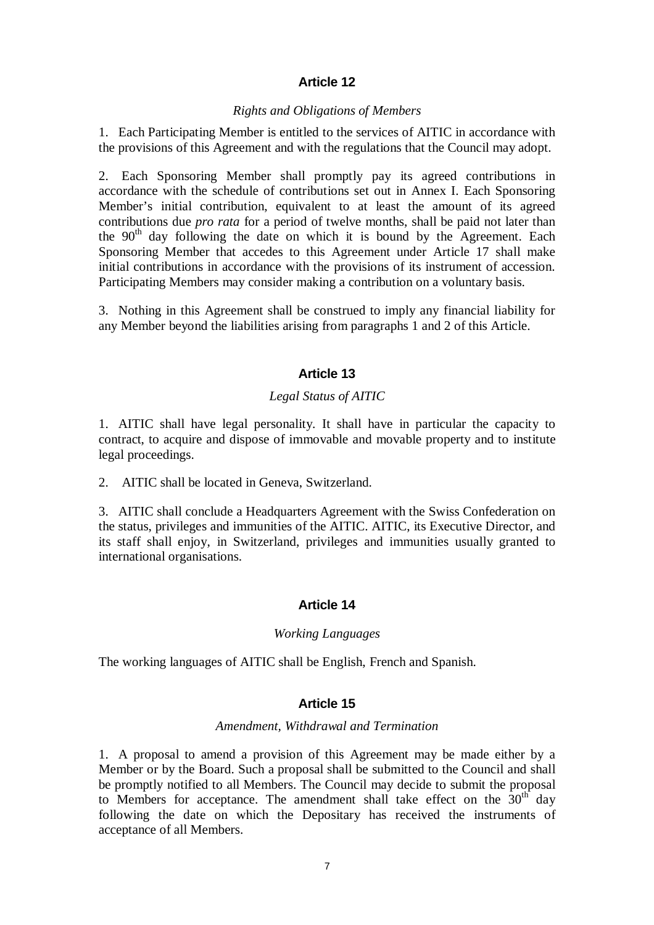# **Article 12**

#### *Rights and Obligations of Members*

1. Each Participating Member is entitled to the services of AITIC in accordance with the provisions of this Agreement and with the regulations that the Council may adopt.

2. Each Sponsoring Member shall promptly pay its agreed contributions in accordance with the schedule of contributions set out in Annex I. Each Sponsoring Member's initial contribution, equivalent to at least the amount of its agreed contributions due *pro rata* for a period of twelve months, shall be paid not later than the  $90<sup>th</sup>$  day following the date on which it is bound by the Agreement. Each Sponsoring Member that accedes to this Agreement under Article 17 shall make initial contributions in accordance with the provisions of its instrument of accession. Participating Members may consider making a contribution on a voluntary basis.

3. Nothing in this Agreement shall be construed to imply any financial liability for any Member beyond the liabilities arising from paragraphs 1 and 2 of this Article.

# **Article 13**

# *Legal Status of AITIC*

1. AITIC shall have legal personality. It shall have in particular the capacity to contract, to acquire and dispose of immovable and movable property and to institute legal proceedings.

2. AITIC shall be located in Geneva, Switzerland.

3. AITIC shall conclude a Headquarters Agreement with the Swiss Confederation on the status, privileges and immunities of the AITIC. AITIC, its Executive Director, and its staff shall enjoy, in Switzerland, privileges and immunities usually granted to international organisations.

# **Article 14**

#### *Working Languages*

The working languages of AITIC shall be English, French and Spanish.

### **Article 15**

#### *Amendment, Withdrawal and Termination*

1. A proposal to amend a provision of this Agreement may be made either by a Member or by the Board. Such a proposal shall be submitted to the Council and shall be promptly notified to all Members. The Council may decide to submit the proposal to Members for acceptance. The amendment shall take effect on the  $30<sup>th</sup>$  day following the date on which the Depositary has received the instruments of acceptance of all Members.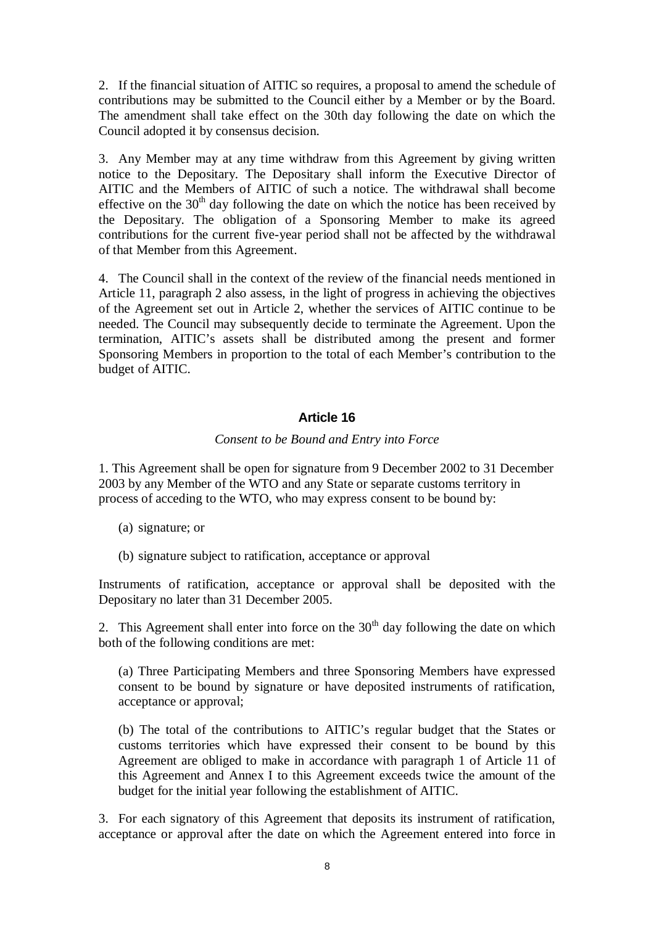2. If the financial situation of AITIC so requires, a proposal to amend the schedule of contributions may be submitted to the Council either by a Member or by the Board. The amendment shall take effect on the 30th day following the date on which the Council adopted it by consensus decision.

3. Any Member may at any time withdraw from this Agreement by giving written notice to the Depositary. The Depositary shall inform the Executive Director of AITIC and the Members of AITIC of such a notice. The withdrawal shall become effective on the 30<sup>th</sup> day following the date on which the notice has been received by the Depositary. The obligation of a Sponsoring Member to make its agreed contributions for the current five-year period shall not be affected by the withdrawal of that Member from this Agreement.

4. The Council shall in the context of the review of the financial needs mentioned in Article 11, paragraph 2 also assess, in the light of progress in achieving the objectives of the Agreement set out in Article 2, whether the services of AITIC continue to be needed. The Council may subsequently decide to terminate the Agreement. Upon the termination, AITIC's assets shall be distributed among the present and former Sponsoring Members in proportion to the total of each Member's contribution to the budget of AITIC.

# **Article 16**

### *Consent to be Bound and Entry into Force*

1. This Agreement shall be open for signature from 9 December 2002 to 31 December 2003 by any Member of the WTO and any State or separate customs territory in process of acceding to the WTO, who may express consent to be bound by:

- (a) signature; or
- (b) signature subject to ratification, acceptance or approval

Instruments of ratification, acceptance or approval shall be deposited with the Depositary no later than 31 December 2005.

2. This Agreement shall enter into force on the  $30<sup>th</sup>$  day following the date on which both of the following conditions are met:

(a) Three Participating Members and three Sponsoring Members have expressed consent to be bound by signature or have deposited instruments of ratification, acceptance or approval;

(b) The total of the contributions to AITIC's regular budget that the States or customs territories which have expressed their consent to be bound by this Agreement are obliged to make in accordance with paragraph 1 of Article 11 of this Agreement and Annex I to this Agreement exceeds twice the amount of the budget for the initial year following the establishment of AITIC.

3. For each signatory of this Agreement that deposits its instrument of ratification, acceptance or approval after the date on which the Agreement entered into force in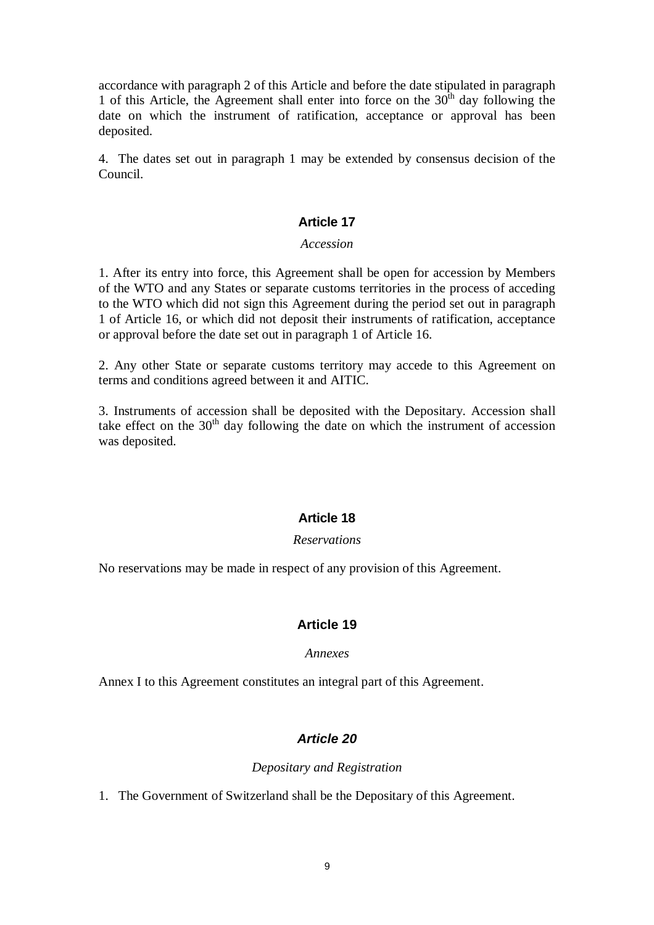accordance with paragraph 2 of this Article and before the date stipulated in paragraph 1 of this Article, the Agreement shall enter into force on the  $30<sup>th</sup>$  day following the date on which the instrument of ratification, acceptance or approval has been deposited.

4. The dates set out in paragraph 1 may be extended by consensus decision of the Council.

# **Article 17**

### *Accession*

1. After its entry into force, this Agreement shall be open for accession by Members of the WTO and any States or separate customs territories in the process of acceding to the WTO which did not sign this Agreement during the period set out in paragraph 1 of Article 16, or which did not deposit their instruments of ratification, acceptance or approval before the date set out in paragraph 1 of Article 16.

2. Any other State or separate customs territory may accede to this Agreement on terms and conditions agreed between it and AITIC.

3. Instruments of accession shall be deposited with the Depositary. Accession shall take effect on the  $30<sup>th</sup>$  day following the date on which the instrument of accession was deposited.

# **Article 18**

#### *Reservations*

No reservations may be made in respect of any provision of this Agreement.

# **Article 19**

# *Annexes*

Annex I to this Agreement constitutes an integral part of this Agreement.

# *Article 20*

# *Depositary and Registration*

1. The Government of Switzerland shall be the Depositary of this Agreement.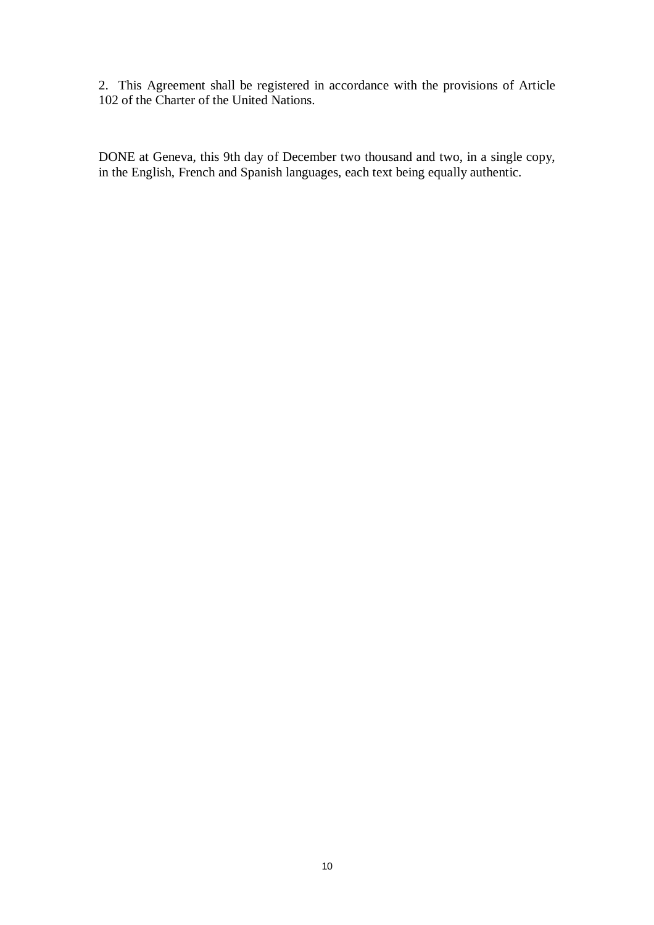2. This Agreement shall be registered in accordance with the provisions of Article 102 of the Charter of the United Nations.

DONE at Geneva, this 9th day of December two thousand and two, in a single copy, in the English, French and Spanish languages, each text being equally authentic.